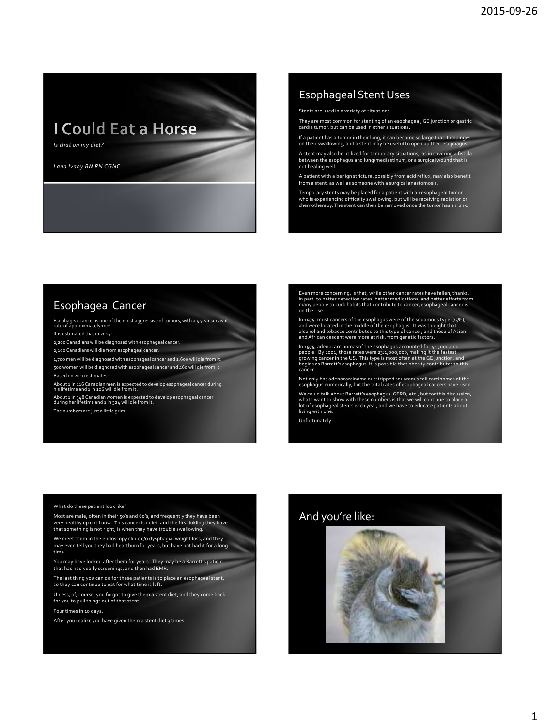**I Could Eat a Horse** 

*Is that on my diet?*

*Lana Ivany BN RN CGNC*

## Esophageal Stent Uses

Stents are used in a variety of situations.

They are most common for stenting of an esophageal, GE junction or gastric cardia tumor, but can be used in other situations.

If a patient has a tumor in their lung, it can become so large that it impinges on their swallowing, and a stent may be useful to open up their esophagus.

A stent may also be utilized for temporary situations, as in covering a fistula between the esophagus and lung/mediastinum, or a surgical wound that is not healing well.

A patient with a benign stricture, possibly from acid reflux, may also benefit from a stent, as well as someone with a surgical anastomos

Temporary stents may be placed for a patient with an esophageal tumor who is experiencing difficulty swallowing, but will be receiving radiation or chemotherapy. The stent can then be removed once the tumor has shrunk.

# Esophageal Cancer

Esophageal cancer is one of the most aggressive of tumors, with a 5 year survival rate of approximately 10%. It is estimated that in 2015:

2,200 Canadians will be diagnosed with esophageal cancer.

2,100 Canadians will die from esophageal cancer.

1,700 men will be diagnosed with esophageal cancer and 1,600 will die from it. 500 women will be diagnosed with esophageal cancer and 460 will die from it.

Based on 2010 estimates:

About 1 in 116 Canadian men is expected to develop esophageal cancer during<br>his lifetime and 1 in 106 will die from it.

About 1 in 348 Canadian women is expected to develop esophageal cancer<br>during her lifetime and 1 in 324 will die from it.

The numbers are just a little grim.

Even more concerning, is that, while other cancer rates have fallen, thanks, in part, to better detection rates, better medications, and better efforts from many people to curb habits that contribute to cancer, esophageal cancer is on the rise.

In 1975, most cancers of the esophagus were of the squamous type (75%),<br>and were located in the middle of the esophagus. It was thought that<br>alcohol and tobacco contributed to this type of cancer, and those of Asian<br>and Af

In 1975, adenocarcinomas of the esophagus accounted for 4:1,000,000<br>people. By 2001, those rates were 23:1,000,000, making it the fastest<br>growing cancer in the US. This type is most often at the GE junction, and<br>begins as

Not only has adenocarcinoma outstripped squamous cell carcinomas of the esophagus numerically, but the total rates of esophageal cancers have risen.

We could talk about Barrett's esophagus, GERD, etc., but for this discussion, what I want to show with these numbers is that we will continue to place a lot of esophageal stents each year, and we have to educate patients about living with one.

Unfortunately.

#### What do these patient look like?

Most are male, often in their 50's and 60's, and frequently they have been very healthy up until now. This cancer is quiet, and the first inkling they have that something is not right, is when they have trouble swallowing.

We meet them in the endoscopy clinic c/o dysphagia, weight loss, and they may even tell you they had heartburn for years, but have not had it for a long time.

You may have looked after them for years. They may be a Barrett's patient that has had yearly screenings, and then had EMR.

The last thing you can do for these patients is to place an esophageal stent, so they can continue to eat for what time is left.

Unless, of, course, you forgot to give them a stent diet, and they come back for you to pull things out of that stent.

Four times in 10 days.

After you realize you have given them a stent diet 3 times.

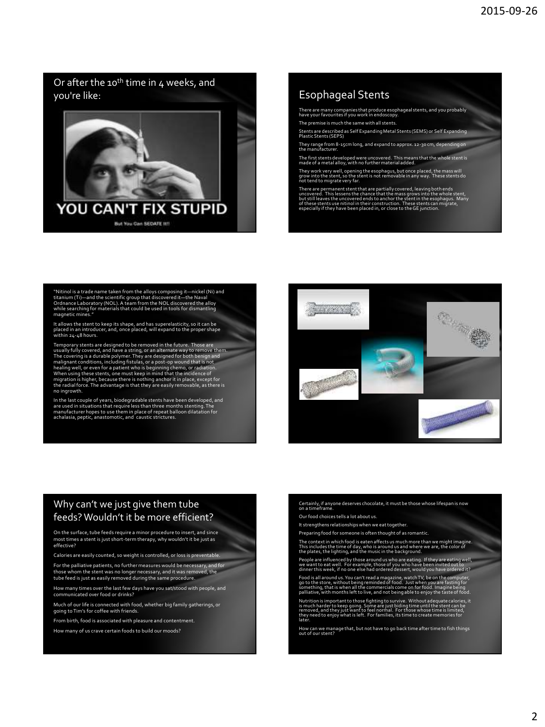Or after the 10<sup>th</sup> time in 4 weeks, and you're like:



# Esophageal Stents

There are many companies that produce esophageal stents, and you probably have your favourites if you work in endoscopy.

The premise is much the same with all stents.

Stents are described as Self Expanding Metal Stents (SEMS) or Self Expanding Plastic Stents (SEPS)

They range from 8-15cm long, and expand to approx. 12-30 cm, depending on the manufacturer.

The first stents developed were uncovered. This means that the whole stent is made of a metal alloy, with no further material added.

They work very well, opening the esophagus, but once placed, the mass will grow into the stent, so the stent is not removable in any way. These stents do not tend to migrate very far.

There are permanent stent that are partially covered, leaving both ends<br>uncovered. This lessens the chance that the mass grows into the whole stent,<br>but still leaves the uncovered ends to anchor the stent in the esophagus.

"Nitinol is a trade name taken from the alloys composing it—nickel (Ni) and<br>titanium (Ti)—and the scientific group that discovered it—the Naval<br>Ordnance Laboratory (NOL). A team from the NOL discovered the alloy<br>while sear

It allows the stent to keep its shape, and has superelasticity, so it can be placed in an introducer, and, once placed, will expand to the proper shape within 24-48 hours.

Temporary stents are designed to be removed in the future. Those are<br>usually fully covered, and have a string, or an alternate way to remove them.<br>The covering is a durable polymer. They are designed for both benign and<br>ma healing well, or even for a patient who is beginning chemo, or radiation.<br>When using these stents, one must keep in mind that the incidence of<br>migration is higher, because there is nothing anchor it in place, except for<br>th no ingrowth.

In the last couple of years, biodegradable stents have been developed, and<br>are used in situations that require less than three months stenting. The<br>manufacturer hopes to use them in place of repeat balloon dilatation for<br>a



### Why can't we just give them tube feeds? Wouldn't it be more efficient?

On the surface, tube feeds require a minor procedure to insert, and since most times a stent is just short-term therapy, why wouldn't it be just as effective?

Calories are easily counted, so weight is controlled, or loss is preventable. For the palliative patients, no further measures would be necessary, and for those whom the stent was no longer necessary, and it was removed, the tube feed is just as easily removed during the same procedure.

How many times over the last few days have you sat/stood with people, and communicated over food or drinks?

Much of our life is connected with food, whether big family gatherings, or going to Tim's for coffee with friends.

From birth, food is associated with pleasure and contentment.

How many of us crave certain foods to build our moods?

Certainly, if anyone deserves chocolate, it must be those whose lifespan is now on a timeframe.

Our food choices tells a lot about us.

It strengthens relationships when we eat together.

Preparing food for someone is often thought of as romantic.

The context in which food is eaten affects us much more than we might imagine.<br>This includes the time of day, who is around us and where we are, the color of<br>the plates, the lighting, and the music in the background.

People are influenced by those around us who are eating. If they are eating well,<br>we want to eat well. For example, those of you who have been invited out to<br>dinner this week, if no one else had ordered dessert, would you

Food is all around us. You can't read a magazine, watch TV, be on the computer,<br>go to the store, without being reminded of food. Just when you are fasting for<br>something, that is when all the commercials come on for food. I

Nutrition is important to those fighting to survive. Without adequate calories, it<br>is much harder to keep going. Some are just biding time until the stent can be<br>removed, and they just want to feel normal. For those whose

How can we manage that, but not have to go back time after time to fish things out of our stent?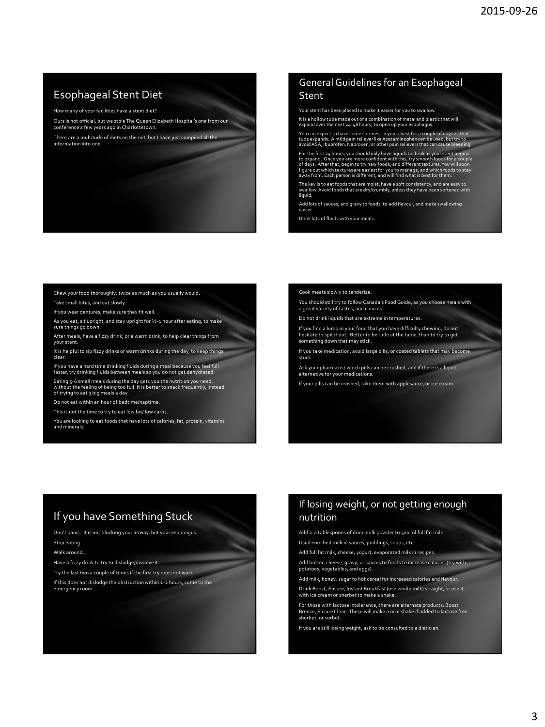# Esophageal Stent Diet

How many of your facilities have a stent diet?

Ours is not official, but we stole The Queen Elizabeth Hospital's one from our conference a few years ago in Charlottetown.

There are a multitude of diets on the net, but I have just compiled all the information into one.

### General Guidelines for an Esophageal Stent

Your stent has been placed to make it easier for you to swallow.

It is a hollow tube made out of a combination of metal and plastic that will expand over the next 24-48 hours, to open up your esopha

You can expect to have some soreness in your chest for a couple of days as that<br>tube expands. A mild pain reliever like Acetaminophen can be used, but try to<br>avoid ASA, Ibuprofen, Naproxen, or other pain relievers that can

For the first 24 hours, you should only have liquids to drink as your stent begins<br>to expand. Once you are more confident with this, try smooth foods for a couple<br>of days. After that, begin to try new foods, and different

The key is to eat foods that are moist, have a soft consistency, and are easy to swallow. Avoid foods that are dry/crumbly, unless they have been softened with liquid.

Add lots of sauces, and gravy to foods, to add flavour, and make swallowing easier.

Drink lots of fluids with your meals.

#### Chew your food thoroughly: twice as much as you usually would. Take small bites, and eat slowly.

If you wear dentures, make sure they fit well.

As you eat, sit upright, and stay upright for ½-1 hour after eating, to make sure things go down.

After meals, have a fizzy drink, or a warm drink, to help clear things from vour ster

It is helpful to sip fizzy drinks or warm drinks during the day, to keep things clear.

If you have a hard time drinking fluids during a meal because you feel full faster, try drinking fluids between meals so you do not get dehydrated.

Eating 5-6 small meals during the day gets you the nutrition you need,<br>without the feeling of being too full. It is better to snack frequently, instead<br>of trying to eat 3 big meals a day.

Do not eat within an hour of bedtime/naptime.

This is not the time to try to eat low fat/ low carbs.

You are looking to eat foods that have lots of calories, fat, protein, vitamins and minerals.

#### Cook meats slowly to tenderize.

You should still try to follow Canada's Food Guide, as you choose meals with a great variety of tastes, and choices.

Do not drink liquids that are extreme in temperatures.

If you find a lump in your food that you have difficulty chewing, do not hesitate to spit it out. Better to be rude at the table, than to try to get something down that may stick.

If you take medication, avoid large pills, or coated tablets that may become stu

Ask your pharmacist which pills can be crushed, and if there is a liquid alternative for your medications.

If your pills can be crushed, take them with applesauce, or ice cream.

# If you have Something Stuck

Don't panic. It is not blocking your airway, but your esophagus.

Stop eating. Walk around.

Have a fizzy drink to try to dislodge/dissolve it.

Try the last two a couple of times if the first try does not work.

If this does not dislodge the obstruction within 1-2 hours, come to the emergency roo

## If losing weight, or not getting enough nutrition

Add 2-4 tablespoons of dried milk powder to 500 ml full fat milk. Used enriched milk in sauces, puddings, soups, etc.

Add full fat milk, cheese, yogurt, evaporated milk in recipes.

Add butter, cheese, gravy, or sauces to foods to increase calories (try with potatoes, vegetables, and eggs).

Add milk, honey, sugar to hot cereal for increased calories and flavour. Drink Boost, Ensure, Instant Breakfast (use whole milk) straight, or use it

with ice cream or sherbet to make a shake.

For those with lactose intolerance, there are alternate products: Boost Breeze, Ensure Clear. These will make a nice shake if added to lactose free sherbet, or sorbet.

If you are still losing weight, ask to be consulted to a dietician.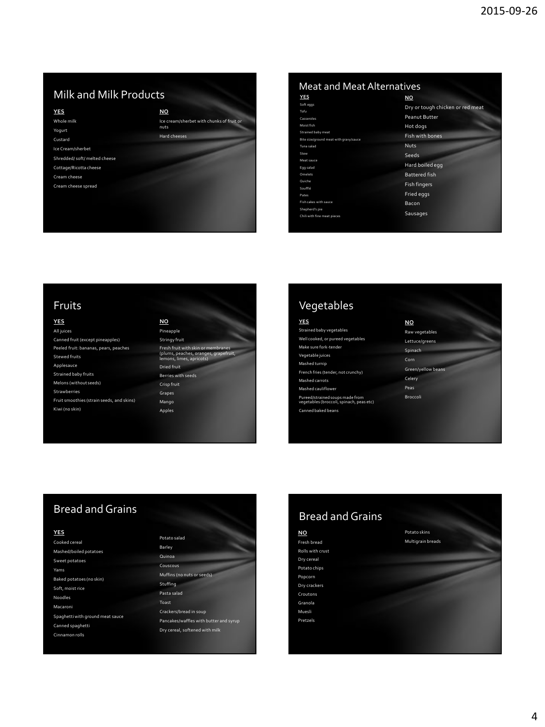# **Milk and Milk Products**

**YES**

Whole milk Yogurt Custard Ice Cream/sherbet Shredded/ soft/ melted cheese

Cottage/Ricotta cheese

Cream cheese Cream cheese spread



| <b>Meat and Meat Alternatives</b> |  |  |
|-----------------------------------|--|--|
| <b>NO</b>                         |  |  |
| Dry or tough chicken or red meat  |  |  |
| <b>Peanut Butter</b>              |  |  |
| Hot dogs                          |  |  |
|                                   |  |  |
| Fish with bones                   |  |  |
| <b>Nuts</b>                       |  |  |
| Seeds                             |  |  |
| Hard boiled egg                   |  |  |
| <b>Battered fish</b>              |  |  |
| <b>Fish fingers</b>               |  |  |
|                                   |  |  |
| Fried eggs                        |  |  |
| Bacon                             |  |  |
| Sausages                          |  |  |
|                                   |  |  |

## Fruits

## **YES**

| All juices                                |
|-------------------------------------------|
| Canned fruit (except pineapples)          |
| Peeled fruit: bananas, pears, peaches     |
| Stewed fruits                             |
| Applesauce                                |
| <b>Strained baby fruits</b>               |
| Melons (without seeds)                    |
| <b>Strawberries</b>                       |
| Fruit smoothies (strain seeds, and skins) |
| Kiwi (no skin)                            |
|                                           |

#### **NO** Pineapple Stringy fruit Fresh fruit with skin or membranes (plums, peaches, oranges, grapefruit, lemons, limes, apricots) Dried fruit Berries with seeds Crisp fruit

Grapes Mango Apples

| Vegetables                                                             |
|------------------------------------------------------------------------|
| <b>YES</b>                                                             |
| Strained baby vegetables                                               |
| Well cooked, or pureed vegetables                                      |
| Make sure fork-tender                                                  |
| Vegetable juices                                                       |
| Mashed turnip                                                          |
| French fries (tender, not crunchy)                                     |
| Mashed carrots                                                         |
| <b>Mashed cauliflower</b>                                              |
| Pureed/strained soups made from<br>vegetables (broccoli, spinach, pea: |
| Canned baked beans                                                     |
|                                                                        |

| NO                 |
|--------------------|
| Raw vegetables     |
| Lettuce/greens     |
| Spinach            |
| Corn               |
| Green/yellow beans |
| Celery             |
| Peas               |
| <b>Broccoli</b>    |
|                    |
|                    |
|                    |

# Bread and Grains

#### **YES**

| Cooked cereal                    |
|----------------------------------|
| Mashed/boiled potatoes           |
| Sweet potatoes                   |
| Yams                             |
| Baked potatoes (no skin)         |
| Soft, moist rice                 |
| Noodles                          |
| Macaroni                         |
| Spaghetti with ground meat sauce |
| Canned spaghetti                 |
| Cinnamon rolls                   |

#### Potato salad Barley Quinoa Couscous Muffins (no nuts or seeds) Stuffing Pasta salad Toast Crackers/bread in soup Pancakes/waffles with butter and syrup Dry cereal, softened with milk

# **NO** Bread and Grains

#### Fresh bread Rolls with crust Dry cereal

Potato chips Popcorn Dry crackers

Croutons

Granola

Muesli Pretzels Potato skins Multigrain breads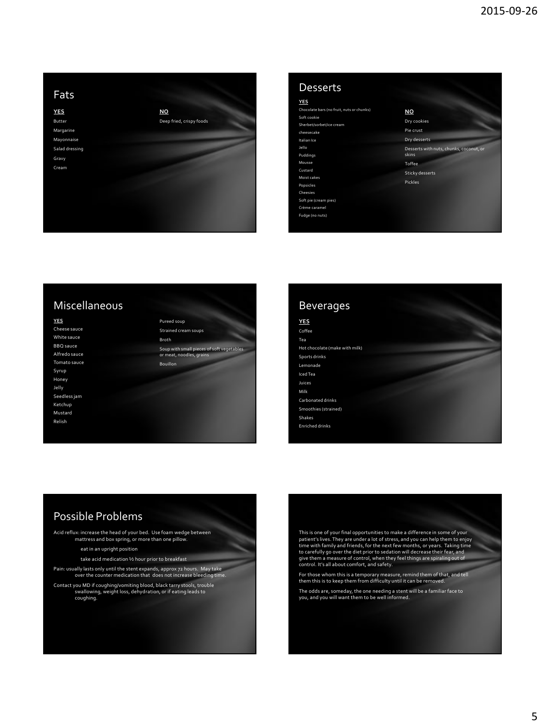

| Desserts                                  |                                         |
|-------------------------------------------|-----------------------------------------|
| <b>YES</b>                                |                                         |
| Chocolate bars (no fruit, nuts or chunks) | NO                                      |
| Soft cookie                               | Dry cookies                             |
| Sherbet/sorbet/ice cream                  |                                         |
| cheesecake                                | Pie crust                               |
| Italian Ice                               | Dry desserts                            |
| Jello                                     | Desserts with nuts, chunks, coconut, or |
| Puddings                                  | skins                                   |
| Mousse                                    | <b>Toffee</b>                           |
| Custard                                   | <b>Sticky desserts</b>                  |
| Moist cakes                               |                                         |
| Popsicles                                 | Pickles                                 |
| Cheesies                                  |                                         |
| Soft pie (cream pies)                     |                                         |
| Crème caramel                             |                                         |
| Fudge (no nuts)                           |                                         |

# Miscellaneous

Cheese sauce White sauce BBQ sauce Alfredo sauce Tomato sauce Syrup Honey Jelly Seedless jam Ketchup Mustard Relish

**YES**

Pureed soup Strained cream soups Broth Soup with small pieces of soft vegetables or meat, noodles, grains Bouillon



# Possible Problems

Acid reflux: increase the head of your bed. Use foam wedge between mattress and box spring, or more than one pillow.

- eat in an upright position
- take acid medication ½ hour prior to breakfast

Pain: usually lasts only until the stent expands, approx 72 hours. May take over the counter medication that does not increase bleeding time.

Contact you MD if coughing/vomiting blood, black tarry stools, trouble swallowing, weight loss, dehydration, or if eating leads to coughing.

This is one of your final opportunities to make a difference in some of your<br>patient's lives. They are under a lot of stress, and you can help them to enjoy<br>time with family and friends, for the next few months, or years. give them a measure of control, when they feel things are spiraling out of control. It's all about comfort, and safety.

For those whom this is a temporary measure, remind them of that, and tell them this is to keep them from difficulty until it can be removed.

The odds are, someday, the one needing a stent will be a familiar face to you, and you will want them to be well informed.